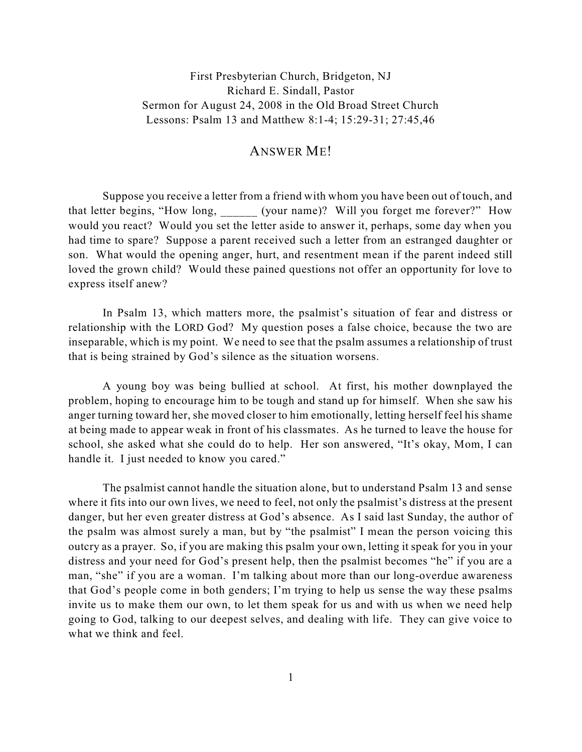First Presbyterian Church, Bridgeton, NJ Richard E. Sindall, Pastor Sermon for August 24, 2008 in the Old Broad Street Church Lessons: Psalm 13 and Matthew 8:1-4; 15:29-31; 27:45,46

## ANSWER ME!

Suppose you receive a letter from a friend with whom you have been out of touch, and that letter begins, "How long, (your name)? Will you forget me forever?" How would you react? Would you set the letter aside to answer it, perhaps, some day when you had time to spare? Suppose a parent received such a letter from an estranged daughter or son. What would the opening anger, hurt, and resentment mean if the parent indeed still loved the grown child? Would these pained questions not offer an opportunity for love to express itself anew?

In Psalm 13, which matters more, the psalmist's situation of fear and distress or relationship with the LORD God? My question poses a false choice, because the two are inseparable, which is my point. We need to see that the psalm assumes a relationship of trust that is being strained by God's silence as the situation worsens.

A young boy was being bullied at school. At first, his mother downplayed the problem, hoping to encourage him to be tough and stand up for himself. When she saw his anger turning toward her, she moved closer to him emotionally, letting herself feel his shame at being made to appear weak in front of his classmates. As he turned to leave the house for school, she asked what she could do to help. Her son answered, "It's okay, Mom, I can handle it. I just needed to know you cared."

The psalmist cannot handle the situation alone, but to understand Psalm 13 and sense where it fits into our own lives, we need to feel, not only the psalmist's distress at the present danger, but her even greater distress at God's absence. As I said last Sunday, the author of the psalm was almost surely a man, but by "the psalmist" I mean the person voicing this outcry as a prayer. So, if you are making this psalm your own, letting it speak for you in your distress and your need for God's present help, then the psalmist becomes "he" if you are a man, "she" if you are a woman. I'm talking about more than our long-overdue awareness that God's people come in both genders; I'm trying to help us sense the way these psalms invite us to make them our own, to let them speak for us and with us when we need help going to God, talking to our deepest selves, and dealing with life. They can give voice to what we think and feel.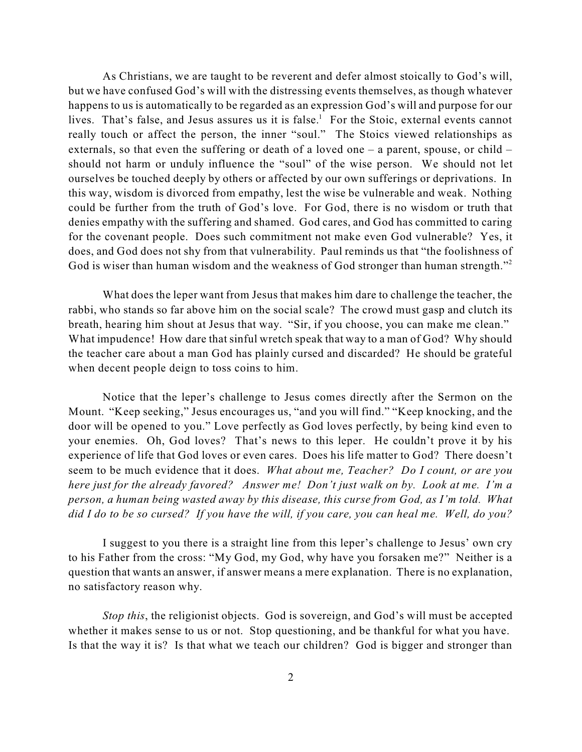As Christians, we are taught to be reverent and defer almost stoically to God's will, but we have confused God's will with the distressing events themselves, as though whatever happens to us is automatically to be regarded as an expression God's will and purpose for our lives. That's false, and Jesus assures us it is false.<sup>1</sup> For the Stoic, external events cannot really touch or affect the person, the inner "soul." The Stoics viewed relationships as externals, so that even the suffering or death of a loved one – a parent, spouse, or child – should not harm or unduly influence the "soul" of the wise person. We should not let ourselves be touched deeply by others or affected by our own sufferings or deprivations. In this way, wisdom is divorced from empathy, lest the wise be vulnerable and weak. Nothing could be further from the truth of God's love. For God, there is no wisdom or truth that denies empathy with the suffering and shamed. God cares, and God has committed to caring for the covenant people. Does such commitment not make even God vulnerable? Yes, it does, and God does not shy from that vulnerability. Paul reminds us that "the foolishness of God is wiser than human wisdom and the weakness of God stronger than human strength."<sup>2</sup>

What does the leper want from Jesus that makes him dare to challenge the teacher, the rabbi, who stands so far above him on the social scale? The crowd must gasp and clutch its breath, hearing him shout at Jesus that way. "Sir, if you choose, you can make me clean." What impudence! How dare that sinful wretch speak that way to a man of God? Why should the teacher care about a man God has plainly cursed and discarded? He should be grateful when decent people deign to toss coins to him.

Notice that the leper's challenge to Jesus comes directly after the Sermon on the Mount. "Keep seeking," Jesus encourages us, "and you will find." "Keep knocking, and the door will be opened to you." Love perfectly as God loves perfectly, by being kind even to your enemies. Oh, God loves? That's news to this leper. He couldn't prove it by his experience of life that God loves or even cares. Does his life matter to God? There doesn't seem to be much evidence that it does. *What about me, Teacher? Do I count, or are you here just for the already favored? Answer me! Don't just walk on by. Look at me. I'm a person, a human being wasted away by this disease, this curse from God, as I'm told. What did I do to be so cursed? If you have the will, if you care, you can heal me. Well, do you?*

I suggest to you there is a straight line from this leper's challenge to Jesus' own cry to his Father from the cross: "My God, my God, why have you forsaken me?" Neither is a question that wants an answer, if answer means a mere explanation. There is no explanation, no satisfactory reason why.

*Stop this*, the religionist objects. God is sovereign, and God's will must be accepted whether it makes sense to us or not. Stop questioning, and be thankful for what you have. Is that the way it is? Is that what we teach our children? God is bigger and stronger than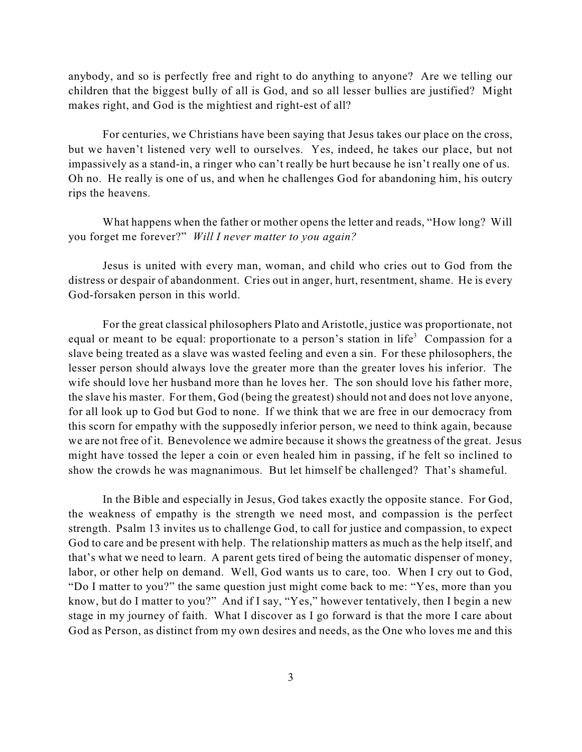anybody, and so is perfectly free and right to do anything to anyone? Are we telling our children that the biggest bully of all is God, and so all lesser bullies are justified? Might makes right, and God is the mightiest and right-est of all?

For centuries, we Christians have been saying that Jesus takes our place on the cross, but we haven't listened very well to ourselves. Yes, indeed, he takes our place, but not impassively as a stand-in, a ringer who can't really be hurt because he isn't really one of us. Oh no. He really is one of us, and when he challenges God for abandoning him, his outcry rips the heavens.

What happens when the father or mother opens the letter and reads, "How long? Will you forget me forever?" *Will I never matter to you again?* 

Jesus is united with every man, woman, and child who cries out to God from the distress or despair of abandonment. Cries out in anger, hurt, resentment, shame. He is every God-forsaken person in this world.

For the great classical philosophers Plato and Aristotle, justice was proportionate, not equal or meant to be equal: proportionate to a person's station in life<sup>3</sup> Compassion for a slave being treated as a slave was wasted feeling and even a sin. For these philosophers, the lesser person should always love the greater more than the greater loves his inferior. The wife should love her husband more than he loves her. The son should love his father more, the slave his master. For them, God (being the greatest) should not and does not love anyone, for all look up to God but God to none. If we think that we are free in our democracy from this scorn for empathy with the supposedly inferior person, we need to think again, because we are not free of it. Benevolence we admire because it shows the greatness of the great. Jesus might have tossed the leper a coin or even healed him in passing, if he felt so inclined to show the crowds he was magnanimous. But let himself be challenged? That's shameful.

In the Bible and especially in Jesus, God takes exactly the opposite stance. For God, the weakness of empathy is the strength we need most, and compassion is the perfect strength. Psalm 13 invites us to challenge God, to call for justice and compassion, to expect God to care and be present with help. The relationship matters as much as the help itself, and that's what we need to learn. A parent gets tired of being the automatic dispenser of money, labor, or other help on demand. Well, God wants us to care, too. When I cry out to God, "Do I matter to you?" the same question just might come back to me: "Yes, more than you know, but do I matter to you?" And if I say, "Yes," however tentatively, then I begin a new stage in my journey of faith. What I discover as I go forward is that the more I care about God as Person, as distinct from my own desires and needs, as the One who loves me and this